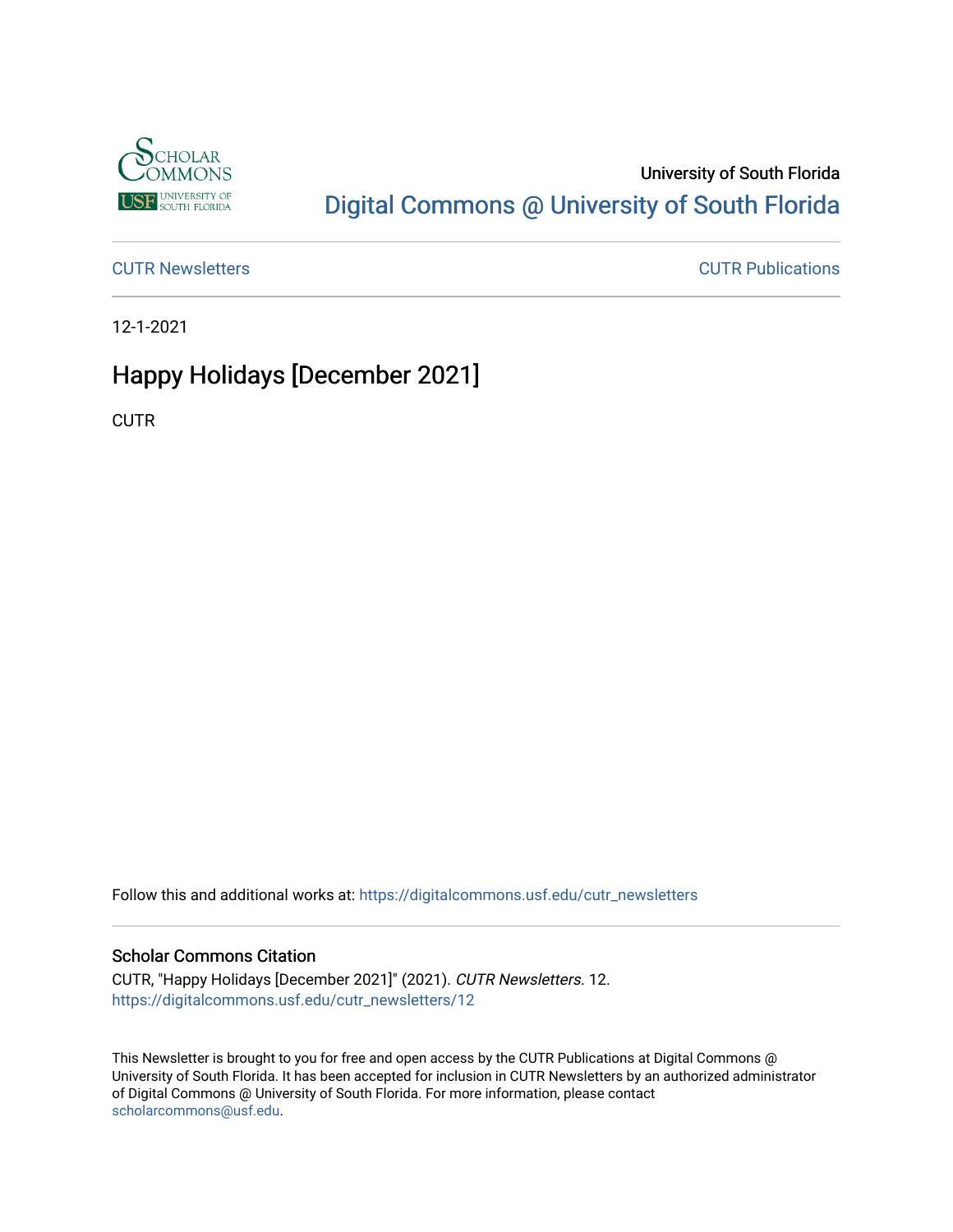

## University of South Florida [Digital Commons @ University of South Florida](https://digitalcommons.usf.edu/)

[CUTR Newsletters](https://digitalcommons.usf.edu/cutr_newsletters) [CUTR Publications](https://digitalcommons.usf.edu/cutr_pubs) 

12-1-2021

## Happy Holidays [December 2021]

**CUTR** 

Follow this and additional works at: [https://digitalcommons.usf.edu/cutr\\_newsletters](https://digitalcommons.usf.edu/cutr_newsletters?utm_source=digitalcommons.usf.edu%2Fcutr_newsletters%2F12&utm_medium=PDF&utm_campaign=PDFCoverPages) 

## Scholar Commons Citation

CUTR, "Happy Holidays [December 2021]" (2021). CUTR Newsletters. 12. [https://digitalcommons.usf.edu/cutr\\_newsletters/12](https://digitalcommons.usf.edu/cutr_newsletters/12?utm_source=digitalcommons.usf.edu%2Fcutr_newsletters%2F12&utm_medium=PDF&utm_campaign=PDFCoverPages)

This Newsletter is brought to you for free and open access by the CUTR Publications at Digital Commons @ University of South Florida. It has been accepted for inclusion in CUTR Newsletters by an authorized administrator of Digital Commons @ University of South Florida. For more information, please contact [scholarcommons@usf.edu.](mailto:scholarcommons@usf.edu)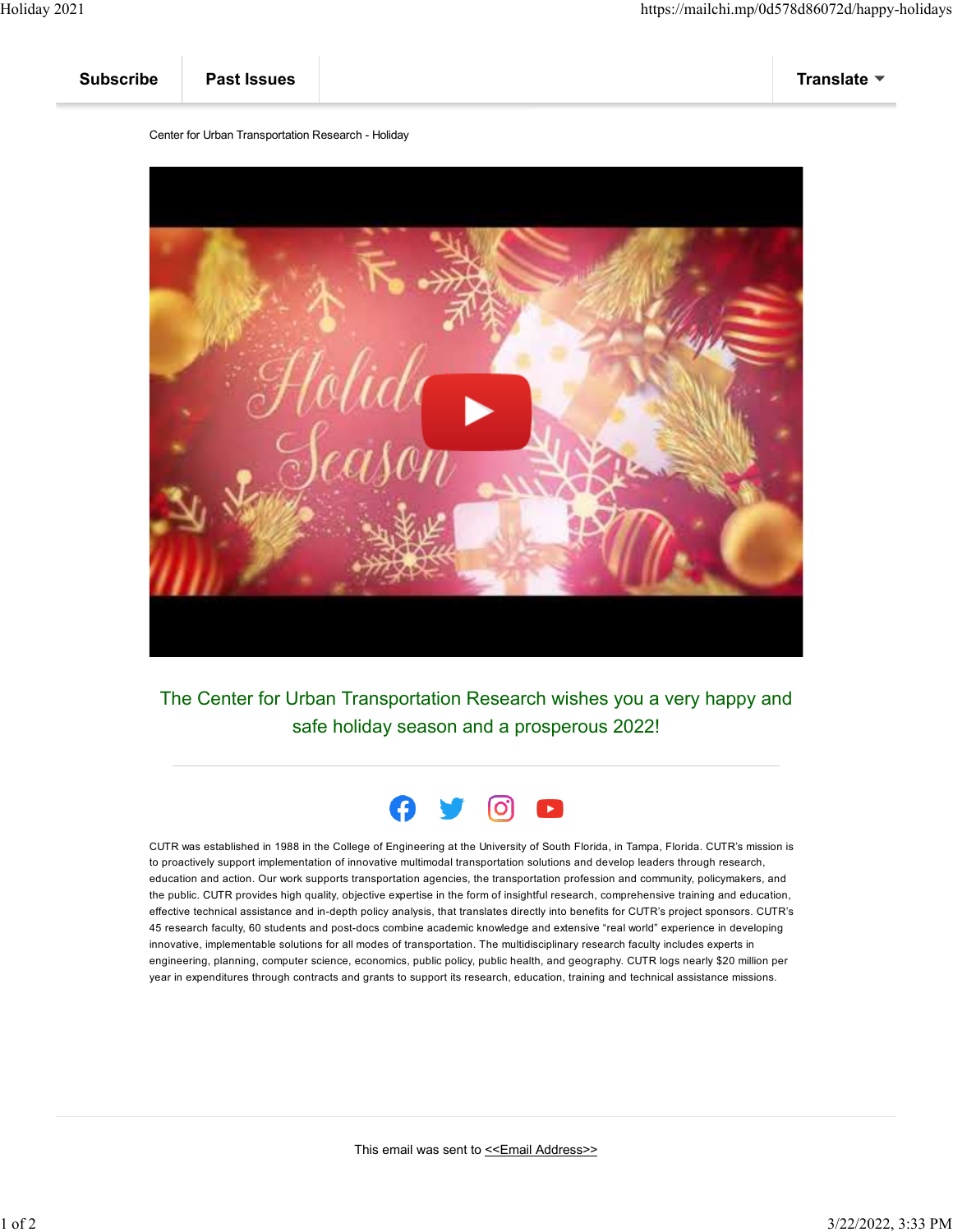| <b>Subscribe</b> | <b>Past Issues</b> |  | Translate $\blacktriangledown$ |
|------------------|--------------------|--|--------------------------------|
|------------------|--------------------|--|--------------------------------|

Center for Urban Transportation Research - Holiday



The Center for Urban Transportation Research wishes you a very happy and safe holiday season and a prosperous 2022!



CUTR was established in 1988 in the College of Engineering at the University of South Florida, in Tampa, Florida. CUTR's mission is to proactively support implementation of innovative multimodal transportation solutions and develop leaders through research, education and action. Our work supports transportation agencies, the transportation profession and community, policymakers, and the public. CUTR provides high quality, objective expertise in the form of insightful research, comprehensive training and education, effective technical assistance and in-depth policy analysis, that translates directly into benefits for CUTR's project sponsors. CUTR's 45 research faculty, 60 students and post-docs combine academic knowledge and extensive "real world" experience in developing innovative, implementable solutions for all modes of transportation. The multidisciplinary research faculty includes experts in engineering, planning, computer science, economics, public policy, public health, and geography. CUTR logs nearly \$20 million per year in expenditures through contracts and grants to support its research, education, training and technical assistance missions.